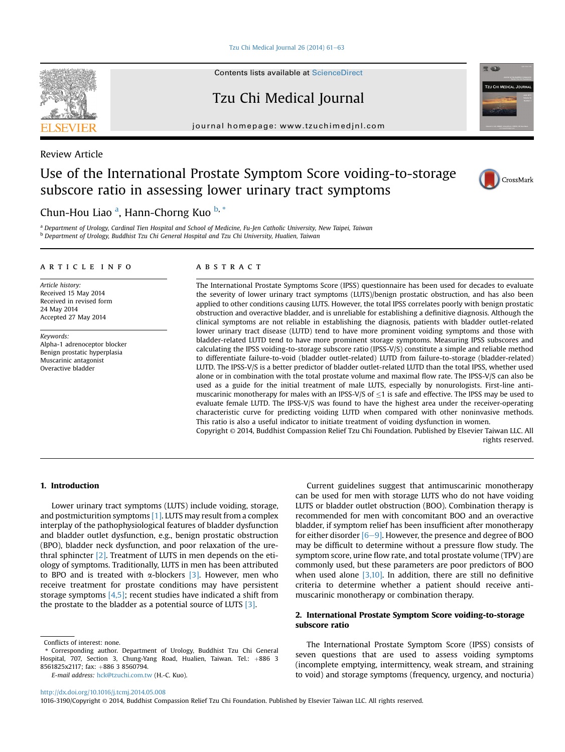Tzu Chi Medical Journal  $26(2014)$  61-[63](http://dx.doi.org/10.1016/j.tcmj.2014.05.008)

## Contents lists available at [ScienceDirect](www.sciencedirect.com/science/journal/10163190)

Tzu Chi Medical Journal

journal homepage: [www.tzuchimedjnl.com](http://www.tzuchimedjnl.com)



# Use of the International Prostate Symptom Score voiding-to-storage subscore ratio in assessing lower urinary tract symptoms



**TZU CHI MEDICAL JOUR** 

**RELACE** 



## Chun-Hou Liao <sup>a</sup>, Hann-Chorng Kuo <sup>b, \*</sup>

a Department of Urology, Cardinal Tien Hospital and School of Medicine, Fu-Jen Catholic University, New Taipei, Taiwan <sup>b</sup> Department of Urology, Buddhist Tzu Chi General Hospital and Tzu Chi University, Hualien, Taiwan

#### article info

Article history: Received 15 May 2014 Received in revised form 24 May 2014 Accepted 27 May 2014

Keywords: Alpha-1 adrenoceptor blocker Benign prostatic hyperplasia Muscarinic antagonist Overactive bladder

## ABSTRACT

The International Prostate Symptoms Score (IPSS) questionnaire has been used for decades to evaluate the severity of lower urinary tract symptoms (LUTS)/benign prostatic obstruction, and has also been applied to other conditions causing LUTS. However, the total IPSS correlates poorly with benign prostatic obstruction and overactive bladder, and is unreliable for establishing a definitive diagnosis. Although the clinical symptoms are not reliable in establishing the diagnosis, patients with bladder outlet-related lower urinary tract disease (LUTD) tend to have more prominent voiding symptoms and those with bladder-related LUTD tend to have more prominent storage symptoms. Measuring IPSS subscores and calculating the IPSS voiding-to-storage subscore ratio (IPSS-V/S) constitute a simple and reliable method to differentiate failure-to-void (bladder outlet-related) LUTD from failure-to-storage (bladder-related) LUTD. The IPSS-V/S is a better predictor of bladder outlet-related LUTD than the total IPSS, whether used alone or in combination with the total prostate volume and maximal flow rate. The IPSS-V/S can also be used as a guide for the initial treatment of male LUTS, especially by nonurologists. First-line antimuscarinic monotherapy for males with an IPSS-V/S of  $\leq$ 1 is safe and effective. The IPSS may be used to evaluate female LUTD. The IPSS-V/S was found to have the highest area under the receiver-operating characteristic curve for predicting voiding LUTD when compared with other noninvasive methods. This ratio is also a useful indicator to initiate treatment of voiding dysfunction in women.

Copyright © 2014, Buddhist Compassion Relief Tzu Chi Foundation. Published by Elsevier Taiwan LLC. All rights reserved.

## 1. Introduction

Lower urinary tract symptoms (LUTS) include voiding, storage, and postmicturition symptoms [\[1\]](#page-2-0). LUTS may result from a complex interplay of the pathophysiological features of bladder dysfunction and bladder outlet dysfunction, e.g., benign prostatic obstruction (BPO), bladder neck dysfunction, and poor relaxation of the urethral sphincter [\[2\].](#page-2-0) Treatment of LUTS in men depends on the etiology of symptoms. Traditionally, LUTS in men has been attributed to BPO and is treated with  $\alpha$ -blockers [\[3\]](#page-2-0). However, men who receive treatment for prostate conditions may have persistent storage symptoms [\[4,5\]](#page-2-0); recent studies have indicated a shift from the prostate to the bladder as a potential source of LUTS [\[3\]](#page-2-0).

E-mail address: [hck@tzuchi.com.tw](mailto:hck@tzuchi.com.tw) (H.-C. Kuo).

Current guidelines suggest that antimuscarinic monotherapy can be used for men with storage LUTS who do not have voiding LUTS or bladder outlet obstruction (BOO). Combination therapy is recommended for men with concomitant BOO and an overactive bladder, if symptom relief has been insufficient after monotherapy for either disorder  $[6-9]$  $[6-9]$ . However, the presence and degree of BOO may be difficult to determine without a pressure flow study. The symptom score, urine flow rate, and total prostate volume (TPV) are commonly used, but these parameters are poor predictors of BOO when used alone  $[3,10]$ . In addition, there are still no definitive criteria to determine whether a patient should receive antimuscarinic monotherapy or combination therapy.

## 2. International Prostate Symptom Score voiding-to-storage subscore ratio

The International Prostate Symptom Score (IPSS) consists of seven questions that are used to assess voiding symptoms (incomplete emptying, intermittency, weak stream, and straining to void) and storage symptoms (frequency, urgency, and nocturia)

<http://dx.doi.org/10.1016/j.tcmj.2014.05.008>

Conflicts of interest: none.

<sup>\*</sup> Corresponding author. Department of Urology, Buddhist Tzu Chi General Hospital, 707, Section 3, Chung-Yang Road, Hualien, Taiwan. Tel.: +886 3 8561825x2117; fax: +886 3 8560794.

<sup>1016-3190/</sup>Copyright © 2014, Buddhist Compassion Relief Tzu Chi Foundation. Published by Elsevier Taiwan LLC. All rights reserved.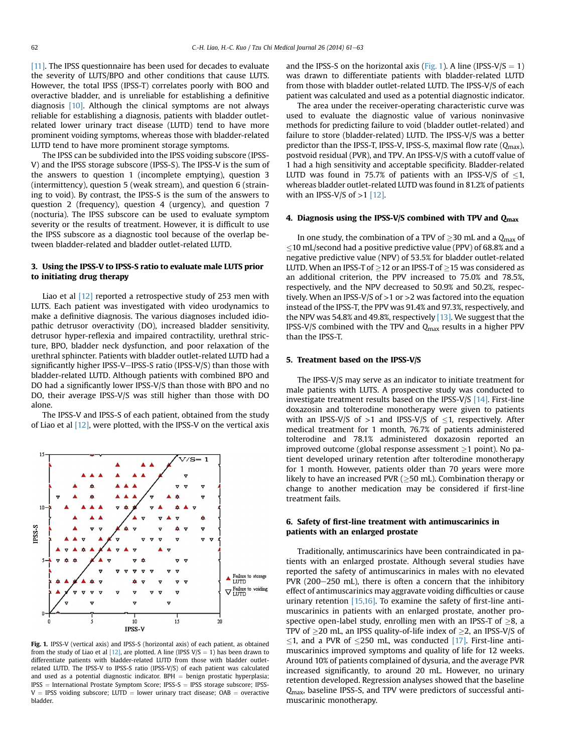[\[11\]](#page-2-0). The IPSS questionnaire has been used for decades to evaluate the severity of LUTS/BPO and other conditions that cause LUTS. However, the total IPSS (IPSS-T) correlates poorly with BOO and overactive bladder, and is unreliable for establishing a definitive diagnosis [\[10\]](#page-2-0). Although the clinical symptoms are not always reliable for establishing a diagnosis, patients with bladder outletrelated lower urinary tract disease (LUTD) tend to have more prominent voiding symptoms, whereas those with bladder-related LUTD tend to have more prominent storage symptoms.

The IPSS can be subdivided into the IPSS voiding subscore (IPSS-V) and the IPSS storage subscore (IPSS-S). The IPSS-V is the sum of the answers to question 1 (incomplete emptying), question 3 (intermittency), question 5 (weak stream), and question 6 (straining to void). By contrast, the IPSS-S is the sum of the answers to question 2 (frequency), question 4 (urgency), and question 7 (nocturia). The IPSS subscore can be used to evaluate symptom severity or the results of treatment. However, it is difficult to use the IPSS subscore as a diagnostic tool because of the overlap between bladder-related and bladder outlet-related LUTD.

## 3. Using the IPSS-V to IPSS-S ratio to evaluate male LUTS prior to initiating drug therapy

Liao et al [\[12\]](#page-2-0) reported a retrospective study of 253 men with LUTS. Each patient was investigated with video urodynamics to make a definitive diagnosis. The various diagnoses included idiopathic detrusor overactivity (DO), increased bladder sensitivity, detrusor hyper-reflexia and impaired contractility, urethral stricture, BPO, bladder neck dysfunction, and poor relaxation of the urethral sphincter. Patients with bladder outlet-related LUTD had a significantly higher IPSS-V-IPSS-S ratio (IPSS-V/S) than those with bladder-related LUTD. Although patients with combined BPO and DO had a significantly lower IPSS-V/S than those with BPO and no DO, their average IPSS-V/S was still higher than those with DO alone.

The IPSS-V and IPSS-S of each patient, obtained from the study of Liao et al  $[12]$ , were plotted, with the IPSS-V on the vertical axis



Fig. 1. IPSS-V (vertical axis) and IPSS-S (horizontal axis) of each patient, as obtained from the study of Liao et al  $[12]$ , are plotted. A line (IPSS V/S = 1) has been drawn to differentiate patients with bladder-related LUTD from those with bladder outletrelated LUTD. The IPSS-V to IPSS-S ratio (IPSS-V/S) of each patient was calculated and used as a potential diagnostic indicator.  $BPH =$  benign prostatic hyperplasia;  $IPSS = International Prostate$  Symptom Score; IPSS-S = IPSS storage subscore; IPSS- $V =$  IPSS voiding subscore; LUTD = lower urinary tract disease; OAB = overactive bladder.

and the IPSS-S on the horizontal axis (Fig. 1). A line (IPSS-V/S  $= 1$ ) was drawn to differentiate patients with bladder-related LUTD from those with bladder outlet-related LUTD. The IPSS-V/S of each patient was calculated and used as a potential diagnostic indicator.

The area under the receiver-operating characteristic curve was used to evaluate the diagnostic value of various noninvasive methods for predicting failure to void (bladder outlet-related) and failure to store (bladder-related) LUTD. The IPSS-V/S was a better predictor than the IPSS-T, IPSS-V, IPSS-S, maximal flow rate  $(Q<sub>max</sub>)$ , postvoid residual (PVR), and TPV. An IPSS-V/S with a cutoff value of 1 had a high sensitivity and acceptable specificity. Bladder-related LUTD was found in 75.7% of patients with an IPSS-V/S of  $\leq$ 1, whereas bladder outlet-related LUTD was found in 81.2% of patients with an IPSS-V/S of  $>1$  [\[12\]](#page-2-0).

## 4. Diagnosis using the IPSS-V/S combined with TPV and  $Q<sub>max</sub>$

In one study, the combination of a TPV of  $\geq$ 30 mL and a  $Q_{\text{max}}$  of  $10$  mL/second had a positive predictive value (PPV) of 68.8% and a negative predictive value (NPV) of 53.5% for bladder outlet-related LUTD. When an IPSS-T of  $\geq$ 12 or an IPSS-T of  $\geq$ 15 was considered as an additional criterion, the PPV increased to 75.0% and 78.5%, respectively, and the NPV decreased to 50.9% and 50.2%, respectively. When an IPSS-V/S of >1 or >2 was factored into the equation instead of the IPSS-T, the PPV was 91.4% and 97.3%, respectively, and the NPV was 54.8% and 49.8%, respectively [\[13\].](#page-2-0) We suggest that the IPSS-V/S combined with the TPV and  $Q<sub>max</sub>$  results in a higher PPV than the IPSS-T.

#### 5. Treatment based on the IPSS-V/S

The IPSS-V/S may serve as an indicator to initiate treatment for male patients with LUTS. A prospective study was conducted to investigate treatment results based on the IPSS-V/S [\[14\]](#page-2-0). First-line doxazosin and tolterodine monotherapy were given to patients with an IPSS-V/S of  $>1$  and IPSS-V/S of  $\leq$ 1, respectively. After medical treatment for 1 month, 76.7% of patients administered tolterodine and 78.1% administered doxazosin reported an improved outcome (global response assessment  $\geq 1$  point). No patient developed urinary retention after tolterodine monotherapy for 1 month. However, patients older than 70 years were more likely to have an increased PVR ( $\geq$ 50 mL). Combination therapy or change to another medication may be considered if first-line treatment fails.

## 6. Safety of first-line treatment with antimuscarinics in patients with an enlarged prostate

Traditionally, antimuscarinics have been contraindicated in patients with an enlarged prostate. Although several studies have reported the safety of antimuscarinics in males with no elevated  $PVR$  (200–250 mL), there is often a concern that the inhibitory effect of antimuscarinics may aggravate voiding difficulties or cause urinary retention  $[15,16]$ . To examine the safety of first-line antimuscarinics in patients with an enlarged prostate, another prospective open-label study, enrolling men with an IPSS-T of  $\geq$ 8, a TPV of  $\geq$ 20 mL, an IPSS quality-of-life index of  $\geq$ 2, an IPSS-V/S of  $\leq$ 1, and a PVR of  $\leq$ 250 mL, was conducted [\[17\]](#page-2-0). First-line antimuscarinics improved symptoms and quality of life for 12 weeks. Around 10% of patients complained of dysuria, and the average PVR increased significantly, to around 20 mL. However, no urinary retention developed. Regression analyses showed that the baseline Q<sub>max</sub>, baseline IPSS-S, and TPV were predictors of successful antimuscarinic monotherapy.